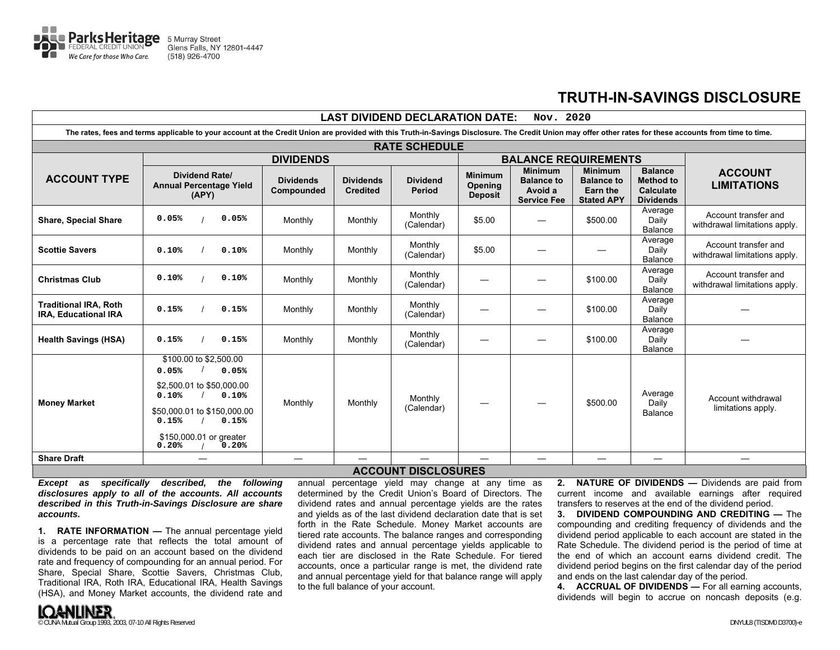

## **TRUTH-IN-SAVINGS DISCLOSURE**

| <b>LAST DIVIDEND DECLARATION DATE:</b><br>Nov. 2020                                                                                                                                                       |                                                                                                                                                                                       |                                |                                     |                                  |                                             |                                                                      |                                                                             |                                                                            |                                                       |
|-----------------------------------------------------------------------------------------------------------------------------------------------------------------------------------------------------------|---------------------------------------------------------------------------------------------------------------------------------------------------------------------------------------|--------------------------------|-------------------------------------|----------------------------------|---------------------------------------------|----------------------------------------------------------------------|-----------------------------------------------------------------------------|----------------------------------------------------------------------------|-------------------------------------------------------|
| The rates, fees and terms applicable to your account at the Credit Union are provided with this Truth-in-Savings Disclosure. The Credit Union may offer other rates for these accounts from time to time. |                                                                                                                                                                                       |                                |                                     |                                  |                                             |                                                                      |                                                                             |                                                                            |                                                       |
| <b>RATE SCHEDULE</b>                                                                                                                                                                                      |                                                                                                                                                                                       |                                |                                     |                                  |                                             |                                                                      |                                                                             |                                                                            |                                                       |
| <b>DIVIDENDS</b>                                                                                                                                                                                          |                                                                                                                                                                                       |                                |                                     |                                  | <b>BALANCE REQUIREMENTS</b>                 |                                                                      |                                                                             |                                                                            |                                                       |
| <b>ACCOUNT TYPE</b>                                                                                                                                                                                       | <b>Dividend Rate/</b><br><b>Annual Percentage Yield</b><br>(APY)                                                                                                                      | <b>Dividends</b><br>Compounded | <b>Dividends</b><br><b>Credited</b> | <b>Dividend</b><br><b>Period</b> | <b>Minimum</b><br>Opening<br><b>Deposit</b> | <b>Minimum</b><br><b>Balance to</b><br>Avoid a<br><b>Service Fee</b> | <b>Minimum</b><br><b>Balance to</b><br><b>Earn the</b><br><b>Stated APY</b> | <b>Balance</b><br><b>Method to</b><br><b>Calculate</b><br><b>Dividends</b> | <b>ACCOUNT</b><br><b>LIMITATIONS</b>                  |
| <b>Share, Special Share</b>                                                                                                                                                                               | 0.05%<br>0.05%                                                                                                                                                                        | Monthly                        | Monthly                             | Monthly<br>(Calendar)            | \$5.00                                      |                                                                      | \$500.00                                                                    | Average<br>Daily<br>Balance                                                | Account transfer and<br>withdrawal limitations apply. |
| <b>Scottie Savers</b>                                                                                                                                                                                     | 0.10%<br>0.10%                                                                                                                                                                        | Monthly                        | Monthly                             | Monthly<br>(Calendar)            | \$5.00                                      |                                                                      |                                                                             | Average<br>Daily<br><b>Balance</b>                                         | Account transfer and<br>withdrawal limitations apply. |
| <b>Christmas Club</b>                                                                                                                                                                                     | 0.10%<br>0.10%                                                                                                                                                                        | Monthly                        | Monthly                             | Monthly<br>(Calendar)            | –                                           |                                                                      | \$100.00                                                                    | Average<br>Daily<br>Balance                                                | Account transfer and<br>withdrawal limitations apply. |
| <b>Traditional IRA, Roth</b><br>IRA, Educational IRA                                                                                                                                                      | 0.15%<br>0.15%                                                                                                                                                                        | Monthly                        | Monthly                             | Monthly<br>(Calendar)            |                                             |                                                                      | \$100.00                                                                    | Average<br>Daily<br>Balance                                                |                                                       |
| <b>Health Savings (HSA)</b>                                                                                                                                                                               | 0.15%<br>0.15%                                                                                                                                                                        | Monthly                        | Monthly                             | Monthly<br>(Calendar)            |                                             |                                                                      | \$100.00                                                                    | Average<br>Daily<br><b>Balance</b>                                         |                                                       |
| <b>Money Market</b>                                                                                                                                                                                       | \$100.00 to \$2,500.00<br>0.05%<br>0.05%<br>\$2,500.01 to \$50,000.00<br>0.10%<br>0.10%<br>\$50,000.01 to \$150,000.00<br>0.15%<br>0.15%<br>\$150,000.01 or greater<br>0.20%<br>0.20% | Monthly                        | Monthly                             | Monthly<br>(Calendar)            |                                             |                                                                      | \$500.00                                                                    | Average<br>Daily<br><b>Balance</b>                                         | Account withdrawal<br>limitations apply.              |
| <b>Share Draft</b>                                                                                                                                                                                        |                                                                                                                                                                                       | $\qquad \qquad$                |                                     |                                  |                                             |                                                                      | $\overline{\phantom{0}}$                                                    |                                                                            |                                                       |
| <b>ACCOUNT DISCLOSURES</b>                                                                                                                                                                                |                                                                                                                                                                                       |                                |                                     |                                  |                                             |                                                                      |                                                                             |                                                                            |                                                       |

*Except as specifically described, the following disclosures apply to all of the accounts. All accounts described in this Truth-in-Savings Disclosure are share accounts.* 

**1. RATE INFORMATION —** The annual percentage yield is a percentage rate that reflects the total amount of dividends to be paid on an account based on the dividend rate and frequency of compounding for an annual period. For Share, Special Share, Scottie Savers, Christmas Club, Traditional IRA, Roth IRA, Educational IRA, Health Savings (HSA), and Money Market accounts, the dividend rate and

annual percentage yield may change at any time as determined by the Credit Union's Board of Directors. The dividend rates and annual percentage yields are the rates and yields as of the last dividend declaration date that is set forth in the Rate Schedule. Money Market accounts are tiered rate accounts. The balance ranges and corresponding dividend rates and annual percentage yields applicable to each tier are disclosed in the Rate Schedule. For tiered accounts, once a particular range is met, the dividend rate and annual percentage yield for that balance range will apply to the full balance of your account.

**2. NATURE OF DIVIDENDS —** Dividends are paid from current income and available earnings after required transfers to reserves at the end of the dividend period.

**3. DIVIDEND COMPOUNDING AND CREDITING —** The compounding and crediting frequency of dividends and the dividend period applicable to each account are stated in the Rate Schedule. The dividend period is the period of time at the end of which an account earns dividend credit. The dividend period begins on the first calendar day of the period and ends on the last calendar day of the period.

**4. ACCRUAL OF DIVIDENDS —** For all earning accounts, dividends will begin to accrue on noncash deposits (e.g.